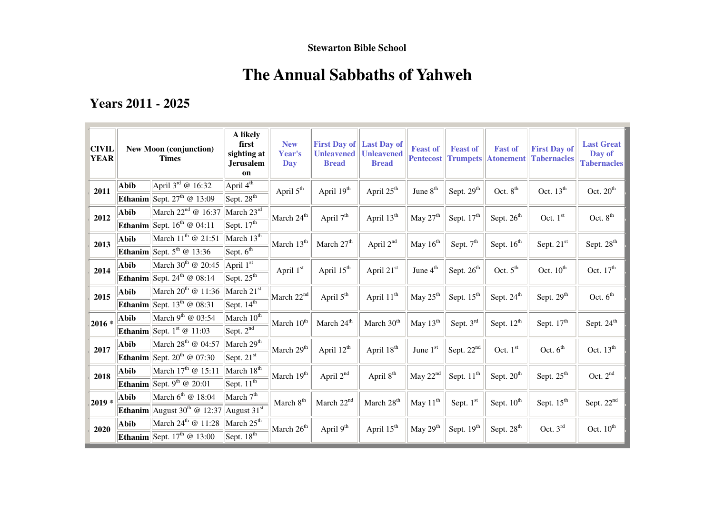## **Stewarton Bible School**

# **The Annual Sabbaths of Yahweh**

# **Years 2011 - 2025**

| <b>CIVIL</b><br><b>YEAR</b> | <b>New Moon (conjunction)</b><br><b>Times</b> |                                                                                  | A likely<br>first<br>sighting at<br><b>Jerusalem</b><br>on | <b>New</b><br>Year's<br>Day | <b>First Day of</b><br><b>Unleavened</b><br><b>Bread</b> | <b>Last Day of</b><br><b>Unleavened</b><br><b>Bread</b> | <b>Feast of</b><br><b>Pentecost</b> | <b>Feast of</b><br><b>Trumpets</b> | <b>Fast of</b><br><b>Atonement</b> | <b>First Day of</b><br><b>Tabernacles</b> | <b>Last Great</b><br>Day of<br><b>Tabernacles</b> |
|-----------------------------|-----------------------------------------------|----------------------------------------------------------------------------------|------------------------------------------------------------|-----------------------------|----------------------------------------------------------|---------------------------------------------------------|-------------------------------------|------------------------------------|------------------------------------|-------------------------------------------|---------------------------------------------------|
| 2011                        | Abib                                          | April $3^{\text{rd}}$ @ 16:32<br><b>Ethanim</b> Sept. $27^{\text{th}}$ @ $13:09$ | April $4^{\overline{\text{th}}}$<br>$S$ ept. $28^{th}$     | April 5 <sup>th</sup>       | April 19th                                               | April 25 <sup>th</sup>                                  | June $8th$                          | Sept. $29th$                       | Oct. $8th$                         | Oct. $13^{\text{th}}$                     | Oct. $20th$                                       |
| 2012                        | Abib                                          | March $22^{nd}$ @ 16:37                                                          | March $23^{\overline{\text{id}}}$                          | March 24 <sup>th</sup>      | April 7 <sup>th</sup>                                    | April 13 <sup>th</sup>                                  | May $27th$                          | Sept. $17th$                       | Sept. $26th$                       | Oct. $1st$                                | Oct. $8^{\text{th}}$                              |
| 2013                        | Abib                                          | <b>Ethanim</b> Sept. $16^{th}$ @ 04:11<br>March $11^{th}$ @ 21:51                | Sept. $\overline{17^{th}}$<br>March $13^{\overline{th}}$   | March 13 <sup>th</sup>      | March 27 <sup>th</sup>                                   | April 2 <sup>nd</sup>                                   | May 16 <sup>th</sup>                |                                    |                                    |                                           | Sept. 28 <sup>th</sup>                            |
|                             |                                               | <b>Ethanim</b> Sept. $5^{\text{th}}$ @ 13:36                                     | Sept. $6^{\text{th}}$                                      |                             |                                                          |                                                         |                                     | Sept. 7 <sup>th</sup>              | Sept. 16 <sup>th</sup>             | Sept. 21st                                |                                                   |
| 2014                        | Abib                                          | March $30th$ @ 20:45<br><b>Ethanim</b> Sept. 24 <sup>th</sup> @ 08:14            | April 1st<br>Sept. $25^{\text{th}}$                        | April 1st                   | April 15 <sup>th</sup>                                   | April 21st                                              | June 4 <sup>th</sup>                | Sept. $26th$                       | Oct. $5^{\text{th}}$               | Oct. $10^{\text{th}}$                     | Oct. $17th$                                       |
| 2015                        | Abib                                          | March $20^{th}$ @ 11:36<br><b>Ethanim</b> Sept. $13^{th}$ @ 08:31                | March 21st<br>Sept. $14^{\overline{th}}$                   | March $22nd$                | April 5 <sup>th</sup>                                    | April $11^{th}$                                         | May 25 <sup>th</sup>                | Sept. 15 <sup>th</sup>             | Sept. 24 <sup>th</sup>             | Sept. 29 <sup>th</sup>                    | Oct. $6th$                                        |
| $ 2016 * $                  | <b>Abib</b>                                   | March 9 <sup>th</sup> @ $03:54$                                                  | March $10^{\overline{th}}$                                 | March 10 <sup>th</sup>      | March 24 <sup>th</sup>                                   | March 30 <sup>th</sup>                                  | May 13 <sup>th</sup>                | Sept. 3rd                          | Sept. 12 <sup>th</sup>             | Sept. 17 <sup>th</sup>                    | Sept. 24 <sup>th</sup>                            |
|                             |                                               | <b>Ethanim</b> Sept. $1^{\text{st}} \textcircled{a} 11:03$                       | Sept. $2^{\overline{nd}}$                                  |                             |                                                          |                                                         |                                     |                                    |                                    |                                           |                                                   |
| 2017                        | Abib                                          | March $28^{\text{th}}$ @ 04:57<br><b>Ethanim</b> Sept. $20^{th}$ @ 07:30         | March $29^{\overline{th}}$<br>Sept. $21^{s\overline{t}}$   | March 29 <sup>th</sup>      | April 12 <sup>th</sup>                                   | April 18 <sup>th</sup>                                  | June $1st$                          | Sept. 22 <sup>nd</sup>             | Oct. 1st                           | Oct. $6th$                                | Oct. $13th$                                       |
| 2018                        | Abib                                          | March $17^{\text{th}}$ @ 15:11                                                   | March $18^{th}$                                            | March 19 <sup>th</sup>      | April 2 <sup>nd</sup>                                    | April 8 <sup>th</sup>                                   | May $22nd$                          | Sept. $11th$                       | Sept. $20th$                       | Sept. $25th$                              | Oct. $2nd$                                        |
|                             |                                               | <b>Ethanim</b> Sept. 9 <sup>th</sup> @ 20:01                                     | Sept. $11^{\overline{th}}$                                 |                             |                                                          |                                                         |                                     |                                    |                                    |                                           |                                                   |
| $ 2019* $                   | Abib                                          | March $6^{th}$ @ 18:04                                                           | March 7 <sup>th</sup>                                      | March $8^{\text{th}}$       | March 22 <sup>nd</sup>                                   | March 28 <sup>th</sup>                                  | May 11 <sup>th</sup>                | Sept. 1st                          | Sept. $10^{th}$                    | Sept. $15th$                              | Sept. $22nd$                                      |
|                             |                                               | <b>Ethanim</b> August $30^{th}$ @ 12:37                                          | August $31st$                                              |                             |                                                          |                                                         |                                     |                                    |                                    |                                           |                                                   |
| 2020                        | Abib                                          | March $24^{\text{th}}$ @ 11:28<br><b>Ethanim</b> Sept. $17th$ @ 13:00            | March $25th$<br>Sept. $18^{\overline{th}}$                 | March $26^{\text{th}}$      | April 9 <sup>th</sup>                                    | April 15 <sup>th</sup>                                  | May 29 <sup>th</sup>                | Sept. $19th$                       | Sept. $28th$                       | Oct. $3rd$                                | Oct. $10^{\text{th}}$                             |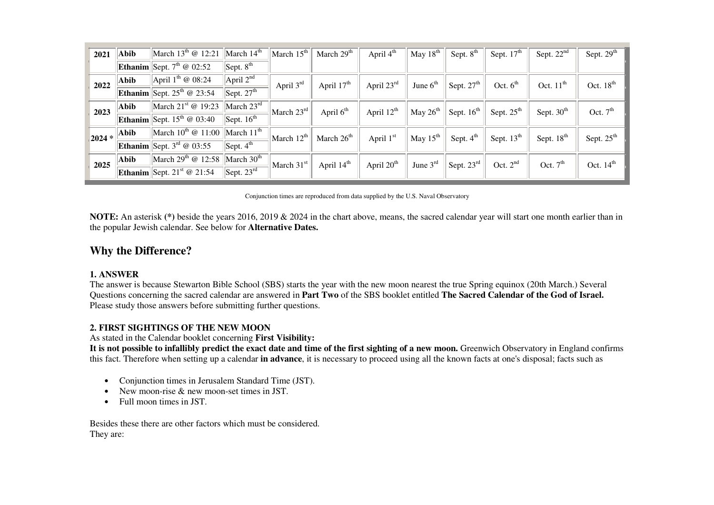| 2021    | Abib        | March $13^{th}$ @ 12:21                       | March $14th$                   | March $15th$                                    | March $29th$           | April 4 <sup>th</sup>  | May $18th$ | Sept. $8th$                                | Sept. $17th$           | Sept. $22nd$           | Sept. 29 <sup>th</sup> |
|---------|-------------|-----------------------------------------------|--------------------------------|-------------------------------------------------|------------------------|------------------------|------------|--------------------------------------------|------------------------|------------------------|------------------------|
|         |             | Ethanim Sept. $7^{\text{th}} \otimes 02:52$   | Sept. 8 <sup>th</sup>          |                                                 |                        |                        |            |                                            |                        |                        |                        |
| 2022    | Abib        | April $1^{\text{th}} \otimes 08:24$           | April $2^{nd}$                 | April $3rd$                                     | April $17th$           | April $23rd$           | June $6th$ | $\mathrm{^{11}}$ Sept. 27 <sup>th</sup> 1. | Oct. $6th$             | Oct. $11th$            | Oct. $18th$            |
|         |             | <b>Ethanim</b> Sept. $25^{\text{th}}$ @ 23:54 | Sept. $27th$                   |                                                 |                        |                        |            |                                            |                        |                        |                        |
| 2023    | Abib        | March $21st$ @ 19:23                          | $\vert$ March 23 <sup>rd</sup> | $\left \right $ March $23^{\text{rd}}\right _1$ | April $6th$            | April $12^{\text{th}}$ | May $26th$ | Sept. $16th$                               | Sept. $25^{\text{th}}$ | Sept. $30th$           | Oct. $7th$             |
|         |             | <b>Ethanim</b> Sept. $15^{th}$ @ 03:40        | Sept. $16th$                   |                                                 |                        |                        |            |                                            |                        |                        |                        |
| $2024*$ | <b>Abib</b> | March $10^{th}$ @ $11:00$                     | $\vert$ March 11 <sup>th</sup> | $ \text{March } 12^{\text{th}} $                | March $26th$           | April 1st              | May $15th$ | Sept. 4 <sup>th</sup>                      | Sept. $13^{\text{th}}$ | Sept. 18 <sup>th</sup> | Sept. 25 <sup>th</sup> |
|         |             | <b>Ethanim</b> Sept. $3^{rd}$ @ 03:55         | Sept. $4^{\text{th}}$          |                                                 |                        |                        |            |                                            |                        |                        |                        |
| 2025    | Abib        | March $29^{\text{th}}$ @ 12:58                | $\vert$ March 30 <sup>th</sup> | March 31 <sup>st</sup>                          | April 14 <sup>th</sup> | April 20 <sup>th</sup> | June $3rd$ | $\vert$ Sept. 23 $^{\text{rd}}$            | Oct. $2^{nd}$          | Oct. $7th$             | Oct. $14th$            |
|         |             | <b>Ethanim</b> Sept. $21^{st}$ @ 21:54        | Sept. $23rd$                   |                                                 |                        |                        |            |                                            |                        |                        |                        |

Conjunction times are reproduced from data supplied by the U.S. Naval Observatory

**NOTE:** An asterisk **(\*)** beside the years 2016, 2019 & 2024 in the chart above, means, the sacred calendar year will start one month earlier than in the popular Jewish calendar. See below for **Alternative Dates.**

# **Why the Difference?**

#### **1. ANSWER**

 The answer is because Stewarton Bible School (SBS) starts the year with the new moon nearest the true Spring equinox (20th March.) Several Questions concerning the sacred calendar are answered in **Part Two** of the SBS booklet entitled **The Sacred Calendar of the God of Israel.**Please study those answers before submitting further questions.

### **2. FIRST SIGHTINGS OF THE NEW MOON**

As stated in the Calendar booklet concerning **First Visibility:**

 **It is not possible to infallibly predict the exact date and time of the first sighting of a new moon.** Greenwich Observatory in England confirms this fact. Therefore when setting up a calendar **in advance**, it is necessary to proceed using all the known facts at one's disposal; facts such as

- Conjunction times in Jerusalem Standard Time (JST).
- New moon-rise & new moon-set times in JST.
- Full moon times in JST.

Besides these there are other factors which must be considered. They are: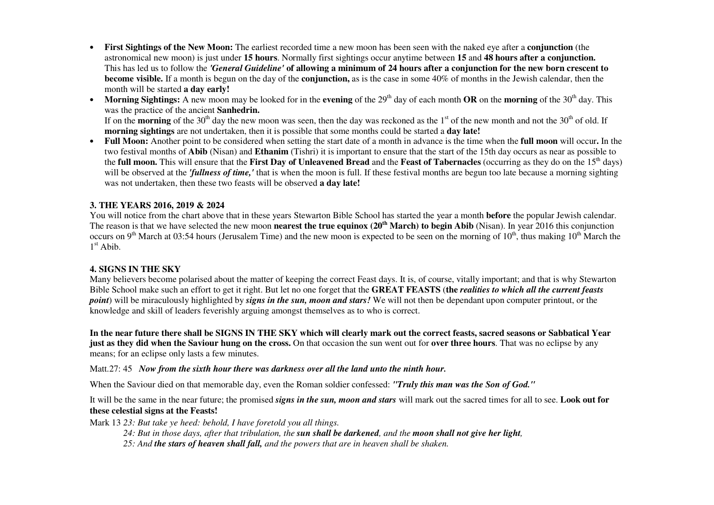- • **First Sightings of the New Moon:** The earliest recorded time a new moon has been seen with the naked eye after a **conjunction** (the astronomical new moon) is just under **15 hours**. Normally first sightings occur anytime between **15** and **48 hours after a conjunction.** This has led us to follow the *'General Guideline'* **of allowing a minimum of 24 hours after a conjunction for the new born crescent to become visible.** If a month is begun on the day of the **conjunction,** as is the case in some 40% of months in the Jewish calendar, then the month will be started **a day early!**
- Morning Sightings: A new moon may be looked for in the evening of the 29<sup>th</sup> day of each month OR on the morning of the 30<sup>th</sup> day. This •was the practice of the ancient **Sanhedrin.**If on the **morning** of the 30<sup>th</sup> day the new moon was seen, then the day was reckoned as the 1<sup>st</sup> of the new month and not the 30<sup>th</sup> of old. If **morning sightings** are not undertaken, then it is possible that some months could be started a **day late!**
- **Full Moon:** Another point to be considered when setting the start date of a month in advance is the time when the **full moon** will occur**.** In the two festival months of **Abib** (Nisan) and **Ethanim** (Tishri) it is important to ensure that the start of the 15th day occurs as near as possible to the **full moon.** This will ensure that the First Day of Unleavened Bread and the Feast of Tabernacles (occurring as they do on the 15<sup>th</sup> days) will be observed at the *'fullness of time,'* that is when the moon is full. If these festival months are begun too late because a morning sighting was not undertaken, then these two feasts will be observed **a day late!**

#### **3. THE YEARS 2016, 2019 & 2024**

 You will notice from the chart above that in these years Stewarton Bible School has started the year a month **before** the popular Jewish calendar. The reason is that we have selected the new moon **nearest the true equinox (20th March) to begin Abib** (Nisan). In year 2016 this conjunction occurs on 9<sup>th</sup> March at 03:54 hours (Jerusalem Time) and the new moon is expected to be seen on the morning of 10<sup>th</sup>, thus making 10<sup>th</sup> March the  $1<sup>st</sup>$  Abib.

#### **4. SIGNS IN THE SKY**

 Many believers become polarised about the matter of keeping the correct Feast days. It is, of course, vitally important; and that is why Stewarton Bible School make such an effort to get it right. But let no one forget that the **GREAT FEASTS** (**the** *realities to which all the current feasts point*) will be miraculously highlighted by *signs in the sun, moon and stars!* We will not then be dependant upon computer printout, or the knowledge and skill of leaders feverishly arguing amongst themselves as to who is correct.

**In the near future there shall be SIGNS IN THE SKY which will clearly mark out the correct feasts, sacred seasons or Sabbatical Year just as they did when the Saviour hung on the cross.** On that occasion the sun went out for **over three hours**. That was no eclipse by any means; for an eclipse only lasts a few minutes.

#### Matt.27: 45 *Now from the sixth hour there was darkness over all the land unto the ninth hour.*

When the Saviour died on that memorable day, even the Roman soldier confessed: *"Truly this man was the Son of God."*

It will be the same in the near future; the promised *signs in the sun, moon and stars* will mark out the sacred times for all to see. **Look out for these celestial signs at the Feasts!**

Mark 13 *23: But take ye heed: behold, I have foretold you all things.* 

*24: But in those days, after that tribulation, the sun shall be darkened, and the moon shall not give her light,*

*25: And the stars of heaven shall fall, and the powers that are in heaven shall be shaken.*